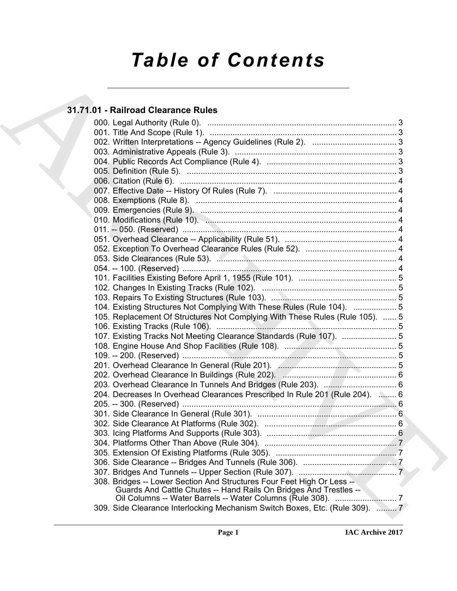# *Table of Contents*

# **31.71.01 - Railroad Clearance Rules**

| 31.71.01 - Railroad Clearance Rules                                          |
|------------------------------------------------------------------------------|
|                                                                              |
|                                                                              |
|                                                                              |
|                                                                              |
|                                                                              |
|                                                                              |
|                                                                              |
|                                                                              |
|                                                                              |
|                                                                              |
|                                                                              |
|                                                                              |
|                                                                              |
|                                                                              |
|                                                                              |
|                                                                              |
|                                                                              |
|                                                                              |
|                                                                              |
| 104. Existing Structures Not Complying With These Rules (Rule 104).  5       |
| 105. Replacement Of Structures Not Complying With These Rules (Rule 105).  5 |
|                                                                              |
| 107. Existing Tracks Not Meeting Clearance Standards (Rule 107).  5          |
|                                                                              |
|                                                                              |
|                                                                              |
|                                                                              |
|                                                                              |
| 204. Decreases In Overhead Clearances Prescribed In Rule 201 (Rule 204).  6  |
|                                                                              |
|                                                                              |
|                                                                              |
|                                                                              |
|                                                                              |
|                                                                              |
|                                                                              |
|                                                                              |
| 308. Bridges -- Lower Section And Structures Four Feet High Or Less --       |
| Guards And Cattle Chutes -- Hand Rails On Bridges And Trestles --            |
| 309. Side Clearance Interlocking Mechanism Switch Boxes, Etc. (Rule 309).  7 |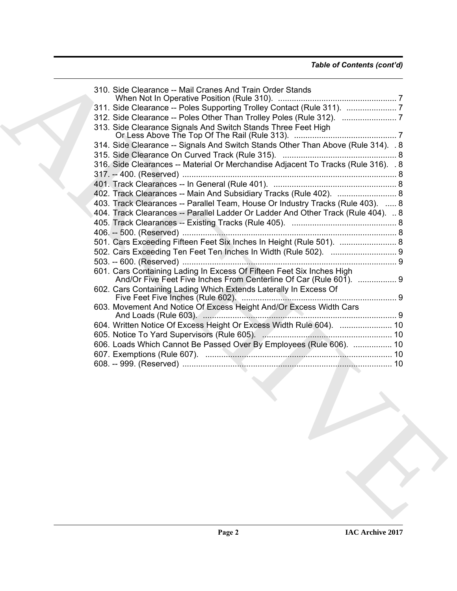| 310. Side Clearance -- Mail Cranes And Train Order Stands                                                                                   |  |
|---------------------------------------------------------------------------------------------------------------------------------------------|--|
| 311. Side Clearance -- Poles Supporting Trolley Contact (Rule 311). 7                                                                       |  |
| 312. Side Clearance -- Poles Other Than Trolley Poles (Rule 312). 7                                                                         |  |
| 313. Side Clearance Signals And Switch Stands Three Feet High                                                                               |  |
| 314. Side Clearance -- Signals And Switch Stands Other Than Above (Rule 314). . 8                                                           |  |
| 316. Side Clearances -- Material Or Merchandise Adjacent To Tracks (Rule 316). . 8                                                          |  |
|                                                                                                                                             |  |
| 402. Track Clearances -- Main And Subsidiary Tracks (Rule 402).  8                                                                          |  |
| 403. Track Clearances -- Parallel Team, House Or Industry Tracks (Rule 403).  8                                                             |  |
| 404. Track Clearances -- Parallel Ladder Or Ladder And Other Track (Rule 404).  8                                                           |  |
|                                                                                                                                             |  |
|                                                                                                                                             |  |
|                                                                                                                                             |  |
| 501. Cars Exceeding Fifteen Feet Six Inches In Height (Rule 501).  8                                                                        |  |
|                                                                                                                                             |  |
|                                                                                                                                             |  |
| 601. Cars Containing Lading In Excess Of Fifteen Feet Six Inches High<br>And/Or Five Feet Five Inches From Centerline Of Car (Rule 601).  9 |  |
| 602. Cars Containing Lading Which Extends Laterally In Excess Of                                                                            |  |
| 603. Movement And Notice Of Excess Height And/Or Excess Width Cars                                                                          |  |
| 604. Written Notice Of Excess Height Or Excess Width Rule 604).  10                                                                         |  |
|                                                                                                                                             |  |
| 606. Loads Which Cannot Be Passed Over By Employees (Rule 606).  10                                                                         |  |
|                                                                                                                                             |  |
|                                                                                                                                             |  |
|                                                                                                                                             |  |
|                                                                                                                                             |  |
|                                                                                                                                             |  |
|                                                                                                                                             |  |
|                                                                                                                                             |  |
|                                                                                                                                             |  |
|                                                                                                                                             |  |
|                                                                                                                                             |  |
|                                                                                                                                             |  |
|                                                                                                                                             |  |
|                                                                                                                                             |  |
|                                                                                                                                             |  |
|                                                                                                                                             |  |
|                                                                                                                                             |  |
|                                                                                                                                             |  |
|                                                                                                                                             |  |
|                                                                                                                                             |  |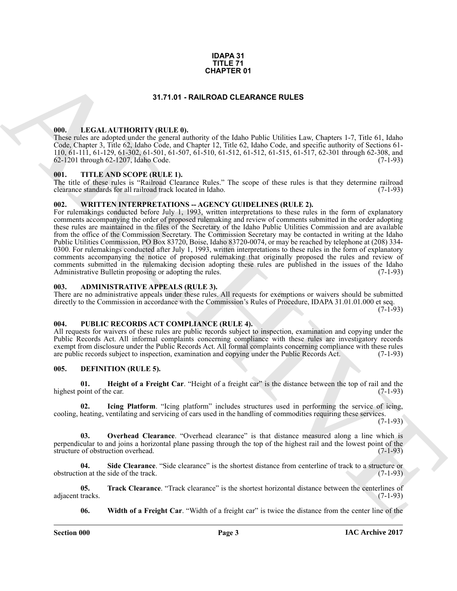# **IDAPA 31 TITLE 71 CHAPTER 01**

# **31.71.01 - RAILROAD CLEARANCE RULES**

# <span id="page-2-1"></span><span id="page-2-0"></span>**000. LEGAL AUTHORITY (RULE 0).**

These rules are adopted under the general authority of the Idaho Public Utilities Law, Chapters 1-7, Title 61, Idaho Code, Chapter 3, Title 62, Idaho Code, and Chapter 12, Title 62, Idaho Code, and specific authority of Sections 61- 110, 61-111, 61-129, 61-302, 61-501, 61-507, 61-510, 61-512, 61-512, 61-515, 61-517, 62-301 through 62-308, and 62-1201 through 62-1207, Idaho Code.

# <span id="page-2-2"></span>**001. TITLE AND SCOPE (RULE 1).**

The title of these rules is "Railroad Clearance Rules." The scope of these rules is that they determine railroad clearance standards for all railroad track located in Idaho. (7-1-93) clearance standards for all railroad track located in Idaho.

# <span id="page-2-3"></span>**002. WRITTEN INTERPRETATIONS -- AGENCY GUIDELINES (RULE 2).**

**CHAPTER 01**<br> **CHAPTER 01**<br> **CHAPTER 01**<br> **CHAPTER 01**<br> **CHAPTER 01**<br> **CHAPTER CHAPTER CHAPTER CHAPTER CHAPTER CHAPTER CHAPTER CHAPTER CHAPTER CHAPTER CHAPTER CHAPTER CHAPTER CHAPTER CHAPTER CHAPTER CHAPTER CHAPTER CHAPTE** For rulemakings conducted before July 1, 1993, written interpretations to these rules in the form of explanatory comments accompanying the order of proposed rulemaking and review of comments submitted in the order adopting these rules are maintained in the files of the Secretary of the Idaho Public Utilities Commission and are available from the office of the Commission Secretary. The Commission Secretary may be contacted in writing at the Idaho Public Utilities Commission, PO Box 83720, Boise, Idaho 83720-0074, or may be reached by telephone at (208) 334- 0300. For rulemakings conducted after July 1, 1993, written interpretations to these rules in the form of explanatory comments accompanying the notice of proposed rulemaking that originally proposed the rules and review of comments submitted in the rulemaking decision adopting these rules are published in the issues of the Idaho Administrative Bulletin proposing or adopting the rules. (7-1-93) Administrative Bulletin proposing or adopting the rules.

# <span id="page-2-4"></span>**003. ADMINISTRATIVE APPEALS (RULE 3).**

There are no administrative appeals under these rules. All requests for exemptions or waivers should be submitted directly to the Commission in accordance with the Commission's Rules of Procedure, IDAPA 31.01.01.000 et seq.

 $(7-1-93)$ 

# <span id="page-2-5"></span>**004. PUBLIC RECORDS ACT COMPLIANCE (RULE 4).**

All requests for waivers of these rules are public records subject to inspection, examination and copying under the Public Records Act. All informal complaints concerning compliance with these rules are investigatory records exempt from disclosure under the Public Records Act. All formal complaints concerning compliance with these rules are public records subject to inspection, examination and copying under the Public Records Act. (7-1-93)

# <span id="page-2-7"></span><span id="page-2-6"></span>**005. DEFINITION (RULE 5).**

<span id="page-2-8"></span>**01. Height of a Freight Car**. "Height of a freight car" is the distance between the top of rail and the highest point of the car. (7-1-93)

<span id="page-2-9"></span>**02. Icing Platform**. "Icing platform" includes structures used in performing the service of icing, cooling, heating, ventilating and servicing of cars used in the handling of commodities requiring these services.

 $(7-1-93)$ 

<span id="page-2-10"></span>**03. Overhead Clearance**. "Overhead clearance" is that distance measured along a line which is perpendicular to and joins a horizontal plane passing through the top of the highest rail and the lowest point of the structure of obstruction overhead. (7-1-93) structure of obstruction overhead.

<span id="page-2-11"></span>**04.** Side Clearance. "Side clearance" is the shortest distance from centerline of track to a structure or on at the side of the track. obstruction at the side of the track.

**05. Track Clearance**. "Track clearance" is the shortest horizontal distance between the centerlines of tracks. (7-1-93) adjacent tracks.

<span id="page-2-13"></span><span id="page-2-12"></span>**06. Width of a Freight Car**. "Width of a freight car" is twice the distance from the center line of the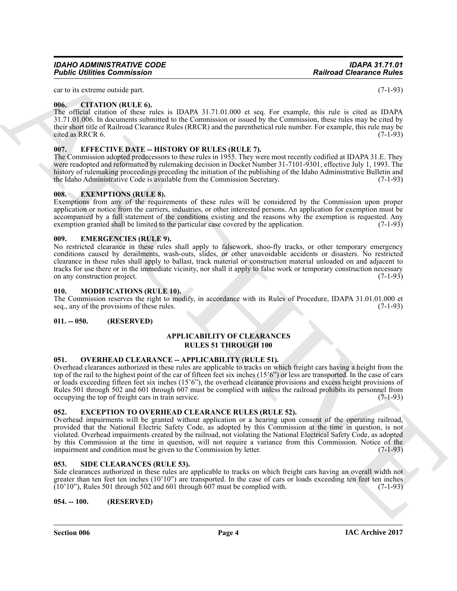Overhead impairments will be granted without application or a hearing upon consent of the operating railroad, provided that the National Electric Safety Code, as adopted by this Commission at the time in question, is not violated. Overhead impairments created by the railroad, not violating the National Electrical Safety Code, as adopted by this Commission at the time in question, will not require a variance from this Commission. Notice of the impairment and condition must be given to the Commission by letter. (7-1-93)

# <span id="page-3-15"></span><span id="page-3-8"></span>**053. SIDE CLEARANCES (RULE 53).**

Side clearances authorized in these rules are applicable to tracks on which freight cars having an overall width not greater than ten feet ten inches  $(10'10'')$  are transported. In the case of cars or loads exceeding ten feet ten inches  $(10'10'')$ . Rules 501 through 502 and 601 through 607 must be complied with.  $(7-1-93)$  $(10'10'')$ , Rules 501 through 502 and 601 through 607 must be complied with.

<span id="page-3-9"></span>**054. -- 100. (RESERVED)**

*IDAHO ADMINISTRATIVE CODE IDAPA 31.71.01 Public Utilities Commission* 

car to its extreme outside part. (7-1-93)

# <span id="page-3-0"></span>**006. CITATION (RULE 6).**

The official citation of these rules is IDAPA 31.71.01.000 et seq. For example, this rule is cited as IDAPA 31.71.01.006. In documents submitted to the Commission or issued by the Commission, these rules may be cited by their short title of Railroad Clearance Rules (RRCR) and the parenthetical rule number. For example, this rule may be<br>cited as RRCR 6 cited as RRCR 6.

# <span id="page-3-1"></span>**007. EFFECTIVE DATE -- HISTORY OF RULES (RULE 7).**

The Commission adopted predecessors to these rules in 1955. They were most recently codified at IDAPA 31.E. They were readopted and reformatted by rulemaking decision in Docket Number 31-7101-9301, effective July 1, 1993. The history of rulemaking proceedings preceding the initiation of the publishing of the Idaho Administrative Bulletin and the Idaho Administrative Code is available from the Commission Secretary. (7-1-93) the Idaho Administrative Code is available from the Commission Secretary.

# <span id="page-3-13"></span><span id="page-3-2"></span>**008. EXEMPTIONS (RULE 8).**

Exemptions from any of the requirements of these rules will be considered by the Commission upon proper application or notice from the carriers, industries, or other interested persons. An application for exemption must be accompanied by a full statement of the conditions existing and the reasons why the exemption is requested. Any exemption granted shall be limited to the particular case covered by the application. (7-1-93)

# <span id="page-3-11"></span><span id="page-3-3"></span>**009. EMERGENCIES (RULE 9).**

**Fosince Universe Commission**<br>
and the state of the state of the state of the state of the state of the state of the state of the state of the state of the state of the state of the state of the state of the state of the No restricted clearance in these rules shall apply to falsework, shoo-fly tracks, or other temporary emergency conditions caused by derailments, wash-outs, slides, or other unavoidable accidents or disasters. No restricted clearance in these rules shall apply to ballast, track material or construction material unloaded on and adjacent to tracks for use there or in the immediate vicinity, nor shall it apply to false work or temporary construction necessary<br>on any construction project. (7-1-93) on any construction project.

# <span id="page-3-4"></span>**010. MODIFICATIONS (RULE 10).**

The Commission reserves the right to modify, in accordance with its Rules of Procedure, IDAPA 31.01.01.000 et seq., any of the provisions of these rules. (7-1-93) seq., any of the provisions of these rules.

# <span id="page-3-5"></span>**011. -- 050. (RESERVED)**

# <span id="page-3-10"></span>**APPLICABILITY OF CLEARANCES RULES 51 THROUGH 100**

# <span id="page-3-14"></span><span id="page-3-6"></span>**051. OVERHEAD CLEARANCE -- APPLICABILITY (RULE 51).**

Overhead clearances authorized in these rules are applicable to tracks on which freight cars having a height from the top of the rail to the highest point of the car of fifteen feet six inches (15'6") or less are transported. In the case of cars or loads exceeding fifteen feet six inches (15'6"), the overhead clearance provisions and excess height provisions of Rules 501 through 502 and 601 through 607 must be complied with unless the railroad prohibits its personnel from occupying the top of freight cars in train service. (7-1-93) occupying the top of freight cars in train service.

# <span id="page-3-12"></span><span id="page-3-7"></span>**052. EXCEPTION TO OVERHEAD CLEARANCE RULES (RULE 52).**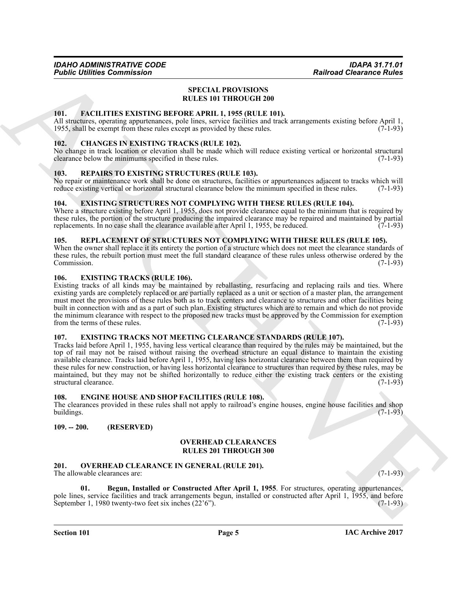# <span id="page-4-21"></span>**SPECIAL PROVISIONS RULES 101 THROUGH 200**

# <span id="page-4-15"></span><span id="page-4-0"></span>**101. FACILITIES EXISTING BEFORE APRIL 1, 1955 (RULE 101).**

All structures, operating appurtenances, pole lines, service facilities and track arrangements existing before April 1, 1955, shall be exempt from these rules except as provided by these rules. (7-1-93) 1955, shall be exempt from these rules except as provided by these rules.

# <span id="page-4-10"></span><span id="page-4-1"></span>**102. CHANGES IN EXISTING TRACKS (RULE 102).**

No change in track location or elevation shall be made which will reduce existing vertical or horizontal structural clearance below the minimums specified in these rules. (7-1-93) clearance below the minimums specified in these rules.

# <span id="page-4-19"></span><span id="page-4-2"></span>**103. REPAIRS TO EXISTING STRUCTURES (RULE 103).**

No repair or maintenance work shall be done on structures, facilities or appurtenances adjacent to tracks which will reduce existing vertical or horizontal structural clearance below the minimum specified in these rules. (7-1-93)

# <span id="page-4-12"></span><span id="page-4-3"></span>**104. EXISTING STRUCTURES NOT COMPLYING WITH THESE RULES (RULE 104).**

Where a structure existing before April 1, 1955, does not provide clearance equal to the minimum that is required by these rules, the portion of the structure producing the impaired clearance may be repaired and maintained by partial replacements. In no case shall the clearance available after April 1, 1955, be reduced. (7-1-93) replacements. In no case shall the clearance available after April 1, 1955, be reduced.

# <span id="page-4-20"></span><span id="page-4-4"></span>**105. REPLACEMENT OF STRUCTURES NOT COMPLYING WITH THESE RULES (RULE 105).**

When the owner shall replace it its entirety the portion of a structure which does not meet the clearance standards of these rules, the rebuilt portion must meet the full standard clearance of these rules unless otherwise ordered by the Commission. (7-1-93) Commission.

# <span id="page-4-13"></span><span id="page-4-5"></span>**106. EXISTING TRACKS (RULE 106).**

Existing tracks of all kinds may be maintained by reballasting, resurfacing and replacing rails and ties. Where existing yards are completely replaced or are partially replaced as a unit or section of a master plan, the arrangement must meet the provisions of these rules both as to track centers and clearance to structures and other facilities being built in connection with and as a part of such plan. Existing structures which are to remain and which do not provide the minimum clearance with respect to the proposed new tracks must be approved by the Commission for exemption from the terms of these rules. (7-1-93)

# <span id="page-4-14"></span><span id="page-4-6"></span>**107. EXISTING TRACKS NOT MEETING CLEARANCE STANDARDS (RULE 107).**

**Foshic infinite Commission**<br> **Reaction Chemistry (AVILA PROVISIONS)**<br> **REACTAIN PROVISIONS**<br> **REACTION CONTINUES (ARTIFICATION CONTINUES)**<br>
AT A CHEMICAL CHEMICAL CHEMICAL CHEMICAL CHEMICAL CHEMICAL CHEMICAL CHEMICAL CHE Tracks laid before April 1, 1955, having less vertical clearance than required by the rules may be maintained, but the top of rail may not be raised without raising the overhead structure an equal distance to maintain the existing available clearance. Tracks laid before April 1, 1955, having less horizontal clearance between them than required by these rules for new construction, or having less horizontal clearance to structures than required by these rules, may be maintained, but they may not be shifted horizontally to reduce either the existing track centers or the existing structural clearance. (7-1-93) structural clearance.

# <span id="page-4-11"></span><span id="page-4-7"></span>**108. ENGINE HOUSE AND SHOP FACILITIES (RULE 108).**

The clearances provided in these rules shall not apply to railroad's engine houses, engine house facilities and shop buildings. (7-1-93) buildings.  $(7-1-93)$ 

# <span id="page-4-8"></span>**109. -- 200. (RESERVED)**

# <span id="page-4-18"></span>**OVERHEAD CLEARANCES RULES 201 THROUGH 300**

<span id="page-4-16"></span><span id="page-4-9"></span>**201. OVERHEAD CLEARANCE IN GENERAL (RULE 201).** The allowable clearances are: (7-1-93)

<span id="page-4-17"></span>

**Begun, Installed or Constructed After April 1, 1955**. For structures, operating appurtenances, pole lines, service facilities and track arrangements begun, installed or constructed after April 1, 1955, and before September 1, 1980 twenty-two feet six inches (22'6"). September 1, 1980 twenty-two feet six inches  $(22'6'')$ .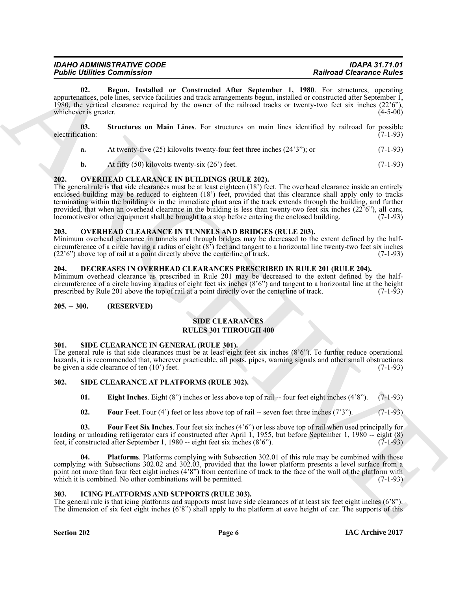| <b>IDAHO ADMINISTRATIVE CODE</b>   | <b>IDAPA 31.71.01</b>           |
|------------------------------------|---------------------------------|
| <b>Public Utilities Commission</b> | <b>Railroad Clearance Rules</b> |
|                                    |                                 |

<span id="page-5-10"></span>**02. Begun, Installed or Constructed After September 1, 1980**. For structures, operating appurtenances, pole lines, service facilities and track arrangements begun, installed or constructed after September 1, 1980, the vertical clearance required by the owner of the railroad tracks or twenty-two feet six inches  $(22'6'')$ , whichever is greater.  $(4-5-00)$ whichever is greater.

**03. Structures on Main Lines**. For structures on main lines identified by railroad for possible electrification:

<span id="page-5-11"></span>

| a. |  | At twenty-five $(25)$ kilovolts twenty-four feet three inches $(24'3'')$ ; or | $(7-1-93)$ |
|----|--|-------------------------------------------------------------------------------|------------|
|----|--|-------------------------------------------------------------------------------|------------|

<span id="page-5-9"></span>**b.** At fifty (50) kilovolts twenty-six (26') feet. (7-1-93)

# <span id="page-5-0"></span>**202. OVERHEAD CLEARANCE IN BUILDINGS (RULE 202).**

**Former Commutes Comparison**<br>
U.B. **Desire Commutes Commutes Commutes Commutes Commutes Commutes Commutes Commutes Commutes Commutes Commutes Commutes Commutes Commutes Commutes Commutes Commutes Commutes Commutes Commute** The general rule is that side clearances must be at least eighteen (18') feet. The overhead clearance inside an entirely enclosed building may be reduced to eighteen (18') feet, provided that this clearance shall apply only to tracks terminating within the building or in the immediate plant area if the track extends through the building, and further provided, that when an overhead clearance in the building is less than twenty-two feet six inches  $(22^56^{\circ})$ , all cars, locomotives or other equipment shall be brought to a stop before entering the enclosed building. (7 locomotives or other equipment shall be brought to a stop before entering the enclosed building.

# <span id="page-5-12"></span><span id="page-5-1"></span>**203. OVERHEAD CLEARANCE IN TUNNELS AND BRIDGES (RULE 203).**

Minimum overhead clearance in tunnels and through bridges may be decreased to the extent defined by the halfcircumference of a circle having a radius of eight  $(8^5)$  feet and tangent to a horizontal line twenty-two feet six inches  $(22^6)$  above top of rail at a point directly above the centerline of track.  $(7-1-93)$  $(22'6'')$  above top of rail at a point directly above the centerline of track.

# <span id="page-5-7"></span><span id="page-5-2"></span>**204. DECREASES IN OVERHEAD CLEARANCES PRESCRIBED IN RULE 201 (RULE 204).**

Minimum overhead clearance as prescribed in Rule 201 may be decreased to the extent defined by the halfcircumference of a circle having a radius of eight feet six inches  $(8'6'')$  and tangent to a horizontal line at the height prescribed by Rule 201 above the top of rail at a point directly over the centerline of track.  $(7$ prescribed by Rule 201 above the top of rail at a point directly over the centerline of track.

# <span id="page-5-3"></span>**205. -- 300. (RESERVED)**

# **SIDE CLEARANCES RULES 301 THROUGH 400**

# <span id="page-5-18"></span><span id="page-5-4"></span>**301. SIDE CLEARANCE IN GENERAL (RULE 301).**

The general rule is that side clearances must be at least eight feet six inches (8'6"). To further reduce operational hazards, it is recommended that, wherever practicable, all posts, pipes, warning signals and other small obstructions be given a side clearance of ten (10') feet. (7-1-93)

# <span id="page-5-5"></span>**302. SIDE CLEARANCE AT PLATFORMS (RULE 302).**

<span id="page-5-14"></span><span id="page-5-13"></span>**01. Eight Inches**. Eight (8") inches or less above top of rail -- four feet eight inches (4'8"). (7-1-93)

<span id="page-5-17"></span><span id="page-5-16"></span><span id="page-5-15"></span>**02.** Four Feet. Four (4') feet or less above top of rail -- seven feet three inches (7'3"). (7-1-93)

**03. Four Feet Six Inches**. Four feet six inches (4'6") or less above top of rail when used principally for loading or unloading refrigerator cars if constructed after April 1, 1955, but before September 1, 1980 -- eight (8) feet. if constructed after September 1, 1980 -- eight feet six inches (8'6'). feet, if constructed after September 1, 1980 -- eight feet six inches  $(8'6'')$ .

**04. Platforms**. Platforms complying with Subsection 302.01 of this rule may be combined with those complying with Subsections 302.02 and 302.03, provided that the lower platform presents a level surface from a point not more than four feet eight inches (4'8") from centerline of track to the face of the wall of the platform with which it is combined. No other combinations will be permitted.  $(7-1-93)$ 

# <span id="page-5-8"></span><span id="page-5-6"></span>**303. ICING PLATFORMS AND SUPPORTS (RULE 303).**

The general rule is that icing platforms and supports must have side clearances of at least six feet eight inches (6'8"). The dimension of six feet eight inches  $(6'8'')$  shall apply to the platform at eave height of car. The supports of this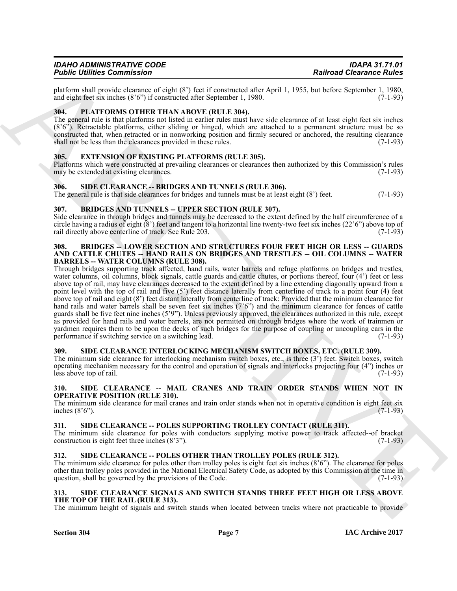# *IDAHO ADMINISTRATIVE CODE IDAPA 31.71.01 Public Utilities Commission*

platform shall provide clearance of eight (8') feet if constructed after April 1, 1955, but before September 1, 1980,<br>and eight feet six inches (8'6'') if constructed after September 1, 1980. and eight feet six inches  $(8'6'')$  if constructed after September 1, 1980.

# <span id="page-6-13"></span><span id="page-6-0"></span>**304. PLATFORMS OTHER THAN ABOVE (RULE 304).**

The general rule is that platforms not listed in earlier rules must have side clearance of at least eight feet six inches (8'6"). Retractable platforms, either sliding or hinged, which are attached to a permanent structure must be so constructed that, when retracted or in nonworking position and firmly secured or anchored, the resulting clearance shall not be less than the clearances provided in these rules. (7-1-93)

# <span id="page-6-12"></span><span id="page-6-1"></span>**305. EXTENSION OF EXISTING PLATFORMS (RULE 305).**

Platforms which were constructed at prevailing clearances or clearances then authorized by this Commission's rules may be extended at existing clearances. (7-1-93) may be extended at existing clearances.

# <span id="page-6-16"></span><span id="page-6-2"></span>**306. SIDE CLEARANCE -- BRIDGES AND TUNNELS (RULE 306).**

The general rule is that side clearances for bridges and tunnels must be at least eight  $(8')$  feet.  $(7-1-93)$ 

# <span id="page-6-10"></span><span id="page-6-3"></span>**307. BRIDGES AND TUNNELS -- UPPER SECTION (RULE 307).**

Side clearance in through bridges and tunnels may be decreased to the extent defined by the half circumference of a circle having a radius of eight  $(8')$  feet and tangent to a horizontal line twenty-two feet six inches  $(22'6'')$  above top of rail directly above centerline of track. See Rule 203. rail directly above centerline of track. See Rule 203.

# <span id="page-6-11"></span><span id="page-6-4"></span>**308. BRIDGES -- LOWER SECTION AND STRUCTURES FOUR FEET HIGH OR LESS -- GUARDS AND CATTLE CHUTES -- HAND RAILS ON BRIDGES AND TRESTLES -- OIL COLUMNS -- WATER BARRELS -- WATER COLUMNS (RULE 308).**

Folio Lemma Commission Control Lemma Control Lemma Commission Commission Commission Commission Commission Commission Commission Commission Commission Commission Commission Commission Commission Commission Commission Commi Through bridges supporting track affected, hand rails, water barrels and refuge platforms on bridges and trestles, water columns, oil columns, block signals, cattle guards and cattle chutes, or portions thereof, four (4') feet or less above top of rail, may have clearances decreased to the extent defined by a line extending diagonally upward from a point level with the top of rail and five (5') feet distance laterally from centerline of track to a point four (4) feet above top of rail and eight (8') feet distant laterally from centerline of track: Provided that the minimum clearance for hand rails and water barrels shall be seven feet six inches  $(7'6'')$  and the minimum clearance for fences of cattle guards shall be five feet nine inches (5'9"). Unless previously approved, the clearances authorized in this rule, except as provided for hand rails and water barrels, are not permitted on through bridges where the work of trainmen or yardmen requires them to be upon the decks of such bridges for the purpose of coupling or uncoupling cars in the performance if switching service on a switching lead. (7-1-93)

# <span id="page-6-14"></span><span id="page-6-5"></span>**309. SIDE CLEARANCE INTERLOCKING MECHANISM SWITCH BOXES, ETC. (RULE 309).**

The minimum side clearance for interlocking mechanism switch boxes, etc., is three (3') feet. Switch boxes, switch operating mechanism necessary for the control and operation of signals and interlocks projecting four (4") inches or less above top of rail. (7-1-93)

# <span id="page-6-17"></span><span id="page-6-6"></span>**310. SIDE CLEARANCE -- MAIL CRANES AND TRAIN ORDER STANDS WHEN NOT IN OPERATIVE POSITION (RULE 310).**

The minimum side clearance for mail cranes and train order stands when not in operative condition is eight feet six inches  $(8'6'')$ .  $(7-1-93)$ inches  $(8<sup>3</sup>6<sup>3</sup>)$ .

# <span id="page-6-19"></span><span id="page-6-7"></span>**311. SIDE CLEARANCE -- POLES SUPPORTING TROLLEY CONTACT (RULE 311).**

The minimum side clearance for poles with conductors supplying motive power to track affected--of bracket construction is eight feet three inches  $(8'3'')$ .  $(7-1-93)$ 

# <span id="page-6-18"></span><span id="page-6-8"></span>**312. SIDE CLEARANCE -- POLES OTHER THAN TROLLEY POLES (RULE 312).**

The minimum side clearance for poles other than trolley poles is eight feet six inches (8'6"). The clearance for poles other than trolley poles provided in the National Electrical Safety Code, as adopted by this Commission at the time in question, shall be governed by the provisions of the Code.

# <span id="page-6-15"></span><span id="page-6-9"></span>**313. SIDE CLEARANCE SIGNALS AND SWITCH STANDS THREE FEET HIGH OR LESS ABOVE THE TOP OF THE RAIL (RULE 313).**

The minimum height of signals and switch stands when located between tracks where not practicable to provide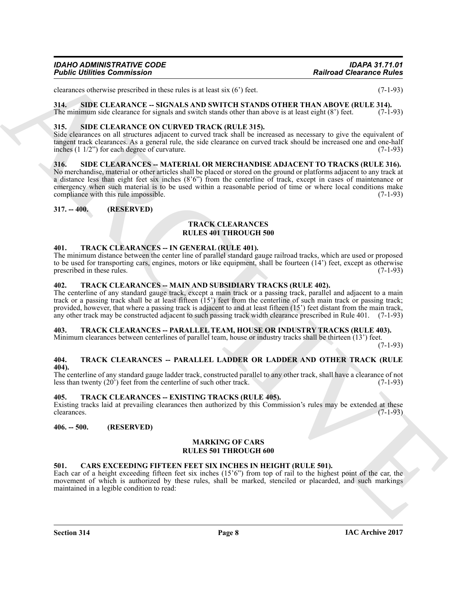# *IDAHO ADMINISTRATIVE CODE IDAPA 31.71.01 Public Utilities Commission*

clearances otherwise prescribed in these rules is at least six  $(6')$  feet.  $(7-1-93)$ 

<span id="page-7-14"></span><span id="page-7-0"></span>**314. SIDE CLEARANCE -- SIGNALS AND SWITCH STANDS OTHER THAN ABOVE (RULE 314).**

The minimum side clearance for signals and switch stands other than above is at least eight  $(8^{\circ})$  feet. (7-1-93)

# <span id="page-7-13"></span><span id="page-7-1"></span>**315. SIDE CLEARANCE ON CURVED TRACK (RULE 315).**

Side clearances on all structures adjacent to curved track shall be increased as necessary to give the equivalent of tangent track clearances. As a general rule, the side clearance on curved track should be increased one and one-half inches  $(1 \ 1/2)$  for each degree of curvature. (7-1-93)

# <span id="page-7-15"></span><span id="page-7-2"></span>**316. SIDE CLEARANCES -- MATERIAL OR MERCHANDISE ADJACENT TO TRACKS (RULE 316).**

**Folding Commission**<br>
Scaling Commission<br>
Scaling Commission<br>
Scaling Commission Inter takes at least set (b) is the<br>
Half Commission Commission Inter takes at least set (b) is the<br>
HALF COMMISSION COMMISSION COMMISSION C No merchandise, material or other articles shall be placed or stored on the ground or platforms adjacent to any track at a distance less than eight feet six inches (8'6") from the centerline of track, except in cases of maintenance or emergency when such material is to be used within a reasonable period of time or where local conditions make compliance with this rule impossible. (7-1-93)

# <span id="page-7-3"></span>**317. -- 400. (RESERVED)**

## <span id="page-7-16"></span>**TRACK CLEARANCES RULES 401 THROUGH 500**

# <span id="page-7-18"></span><span id="page-7-4"></span>**401. TRACK CLEARANCES -- IN GENERAL (RULE 401).**

The minimum distance between the center line of parallel standard gauge railroad tracks, which are used or proposed to be used for transporting cars, engines, motors or like equipment, shall be fourteen  $(14')$  feet, except as otherwise prescribed in these rules.  $(7-1-93)$ prescribed in these rules.

# <span id="page-7-19"></span><span id="page-7-5"></span>**402. TRACK CLEARANCES -- MAIN AND SUBSIDIARY TRACKS (RULE 402).**

The centerline of any standard gauge track, except a main track or a passing track, parallel and adjacent to a main track or a passing track shall be at least fifteen (15') feet from the centerline of such main track or passing track; provided, however, that where a passing track is adjacent to and at least fifteen (15') feet distant from the main track, any other track may be constructed adjacent to such passing track width clearance prescribed in Rule 401. (7-1-93)

# <span id="page-7-21"></span><span id="page-7-6"></span>**403. TRACK CLEARANCES -- PARALLEL TEAM, HOUSE OR INDUSTRY TRACKS (RULE 403).**

Minimum clearances between centerlines of parallel team, house or industry tracks shall be thirteen (13') feet.

(7-1-93)

# <span id="page-7-20"></span><span id="page-7-7"></span>**404. TRACK CLEARANCES -- PARALLEL LADDER OR LADDER AND OTHER TRACK (RULE 404).**

The centerline of any standard gauge ladder track, constructed parallel to any other track, shall have a clearance of not less than twenty (20') feet from the centerline of such other track. (7-1-93) less than twenty  $(20^{\circ})$  feet from the centerline of such other track.

# <span id="page-7-17"></span><span id="page-7-8"></span>**405. TRACK CLEARANCES -- EXISTING TRACKS (RULE 405).**

Existing tracks laid at prevailing clearances then authorized by this Commission's rules may be extended at these clearances. (7-1-93)  $\epsilon$  clearances. (7-1-93)

<span id="page-7-9"></span>**406. -- 500. (RESERVED)**

# <span id="page-7-12"></span>**MARKING OF CARS RULES 501 THROUGH 600**

# <span id="page-7-11"></span><span id="page-7-10"></span>**501. CARS EXCEEDING FIFTEEN FEET SIX INCHES IN HEIGHT (RULE 501).**

Each car of a height exceeding fifteen feet six inches (15'6") from top of rail to the highest point of the car, the movement of which is authorized by these rules, shall be marked, stenciled or placarded, and such markings maintained in a legible condition to read: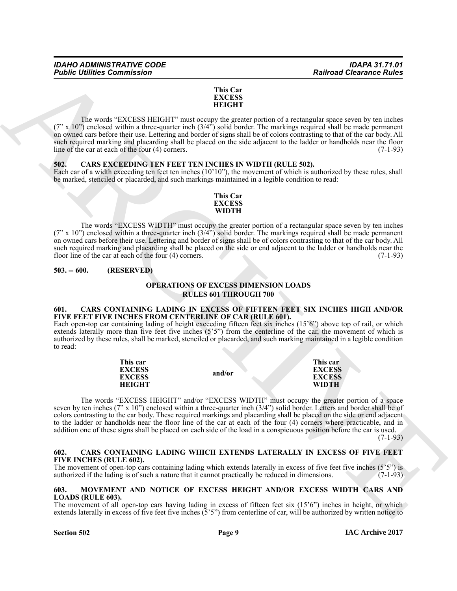## **This Car EXCESS HEIGHT**

The words "EXCESS HEIGHT" must occupy the greater portion of a rectangular space seven by ten inches  $(7" \times 10"')$  enclosed within a three-quarter inch  $(3/4")$  solid border. The markings required shall be made permanent on owned cars before their use. Lettering and border of signs shall be of colors contrasting to that of the car body. All such required marking and placarding shall be placed on the side adjacent to the ladder or handholds near the floor line of the car at each of the four  $(4)$  corners. (7-1-93)

# <span id="page-8-7"></span><span id="page-8-0"></span>**502. CARS EXCEEDING TEN FEET TEN INCHES IN WIDTH (RULE 502).**

Each car of a width exceeding ten feet ten inches (10'10"), the movement of which is authorized by these rules, shall be marked, stenciled or placarded, and such markings maintained in a legible condition to read:

# **This Car EXCESS WIDTH**

The words "EXCESS WIDTH" must occupy the greater portion of a rectangular space seven by ten inches (7" x 10") enclosed within a three-quarter inch (3/4") solid border. The markings required shall be made permanent on owned cars before their use. Lettering and border of signs shall be of colors contrasting to that of the car body. All such required marking and placarding shall be placed on the side or end adjacent to the ladder or handholds near the floor line of the car at each of the four (4) corners. (7-1-93)

# <span id="page-8-1"></span>**503. -- 600. (RESERVED)**

# **OPERATIONS OF EXCESS DIMENSION LOADS RULES 601 THROUGH 700**

# <span id="page-8-5"></span><span id="page-8-2"></span>**601. CARS CONTAINING LADING IN EXCESS OF FIFTEEN FEET SIX INCHES HIGH AND/OR FIVE FEET FIVE INCHES FROM CENTERLINE OF CAR (RULE 601).**

Each open-top car containing lading of height exceeding fifteen feet six inches (15'6") above top of rail, or which extends laterally more than five feet five inches (5'5") from the centerline of the car, the movement of which is authorized by these rules, shall be marked, stenciled or placarded, and such marking maintained in a legible condition to read:

| This car      |        | This car      |
|---------------|--------|---------------|
| <b>EXCESS</b> |        | <b>EXCESS</b> |
| <b>EXCESS</b> | and/or | <b>EXCESS</b> |
| <b>HEIGHT</b> |        | <b>WIDTH</b>  |

**Fashine Commission**<br>
This Car<br>
INTEGRET INTEGRET TRANSACTION CONTINUES INTO the CASE INTEGRET INTO THE CAR CONTINUES INTO the CASE INTEGRET AND NOT CONTINUES INTO the CASE INTO the CASE INTO the CASE INTO the CASE INTO t The words "EXCESS HEIGHT" and/or "EXCESS WIDTH" must occupy the greater portion of a space seven by ten inches (7"  $\times$  10") enclosed within a three-quarter inch (3/4") solid border. Letters and border shall be of colors contrasting to the car body. These required markings and placarding shall be placed on the side or end adjacent to the ladder or handholds near the floor line of the car at each of the four (4) corners where practicable, and in addition one of these signs shall be placed on each side of the load in a conspicuous position before the car is used.

 $(7-1-93)$ 

# <span id="page-8-6"></span><span id="page-8-3"></span>**602. CARS CONTAINING LADING WHICH EXTENDS LATERALLY IN EXCESS OF FIVE FEET FIVE INCHES (RULE 602).**

The movement of open-top cars containing lading which extends laterally in excess of five feet five inches  $(5'5'')$  is authorized if the lading is of such a nature that it cannot practically be reduced in dimensions.  $(7$ authorized if the lading is of such a nature that it cannot practically be reduced in dimensions.

# <span id="page-8-8"></span><span id="page-8-4"></span>**603. MOVEMENT AND NOTICE OF EXCESS HEIGHT AND/OR EXCESS WIDTH CARS AND LOADS (RULE 603).**

The movement of all open-top cars having lading in excess of fifteen feet six (15'6") inches in height, or which extends laterally in excess of five feet five inches  $(5'5'')$  from centerline of car, will be authorized by written notice to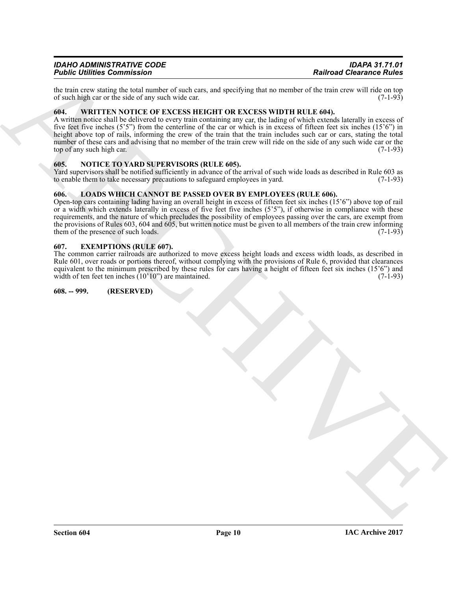# *IDAHO ADMINISTRATIVE CODE IDAPA 31.71.01 Public Utilities Commission*

the train crew stating the total number of such cars, and specifying that no member of the train crew will ride on top of such high car or the side of any such wide car. (7-1-93) of such high car or the side of any such wide car.

# <span id="page-9-8"></span><span id="page-9-0"></span>**604. WRITTEN NOTICE OF EXCESS HEIGHT OR EXCESS WIDTH RULE 604).**

A written notice shall be delivered to every train containing any car, the lading of which extends laterally in excess of five feet five inches (5'5") from the centerline of the car or which is in excess of fifteen feet six inches (15'6") in height above top of rails, informing the crew of the train that the train includes such car or cars, stating the total number of these cars and advising that no member of the train crew will ride on the side of any such wide car or the top of any such high car.  $(7-1-93)$ 

# <span id="page-9-7"></span><span id="page-9-1"></span>**605. NOTICE TO YARD SUPERVISORS (RULE 605).**

Yard supervisors shall be notified sufficiently in advance of the arrival of such wide loads as described in Rule 603 as to enable them to take necessary precautions to safeguard employees in vard. (7-1-93) to enable them to take necessary precautions to safeguard employees in yard.

# <span id="page-9-6"></span><span id="page-9-2"></span>**606. LOADS WHICH CANNOT BE PASSED OVER BY EMPLOYEES (RULE 606).**

**Fairfied Chemistres Commission**<br>
In the same stating the stating and space of the trans, and spacels are last to mean the same stating of the same of the same stating of the same stating of the same stating of the same s Open-top cars containing lading having an overall height in excess of fifteen feet six inches (15'6") above top of rail or a width which extends laterally in excess of five feet five inches (5'5"), if otherwise in compliance with these requirements, and the nature of which precludes the possibility of employees passing over the cars, are exempt from the provisions of Rules 603, 604 and 605, but written notice must be given to all members of the train crew informing them of the presence of such loads.  $(7-1-93)$ them of the presence of such loads.

# <span id="page-9-5"></span><span id="page-9-3"></span>**607. EXEMPTIONS (RULE 607).**

The common carrier railroads are authorized to move excess height loads and excess width loads, as described in Rule 601, over roads or portions thereof, without complying with the provisions of Rule 6, provided that clearances equivalent to the minimum prescribed by these rules for cars having a height of fifteen feet six inches  $(15'6'')$  and width of ten feet ten inches  $(10'10'')$  are maintained. width of ten feet ten inches  $(10'10'')$  are maintained.

# <span id="page-9-4"></span>**608. -- 999. (RESERVED)**